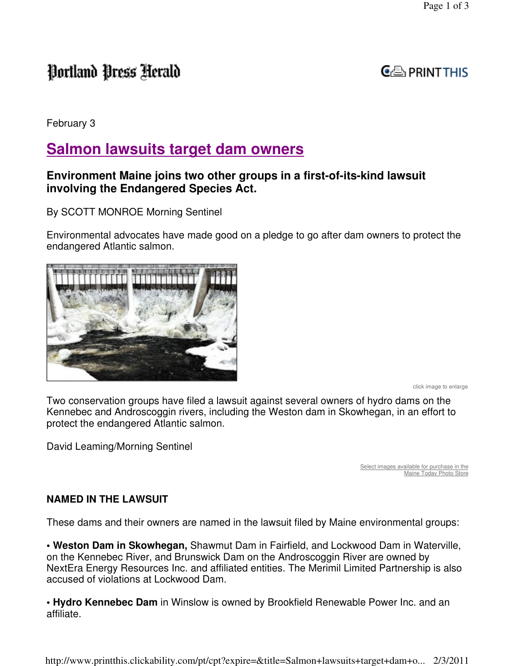# Portland Press Herald

## $G \oplus_{i}$  PRINT THIS

February 3

## **Salmon lawsuits target dam owners**

### **Environment Maine joins two other groups in a first-of-its-kind lawsuit involving the Endangered Species Act.**

By SCOTT MONROE Morning Sentinel

Environmental advocates have made good on a pledge to go after dam owners to protect the endangered Atlantic salmon.



click image to enlarge

Two conservation groups have filed a lawsuit against several owners of hydro dams on the Kennebec and Androscoggin rivers, including the Weston dam in Skowhegan, in an effort to protect the endangered Atlantic salmon.

David Leaming/Morning Sentinel

Select images available for purchase in the Maine Today Photo Store

#### **NAMED IN THE LAWSUIT**

These dams and their owners are named in the lawsuit filed by Maine environmental groups:

**• Weston Dam in Skowhegan,** Shawmut Dam in Fairfield, and Lockwood Dam in Waterville, on the Kennebec River, and Brunswick Dam on the Androscoggin River are owned by NextEra Energy Resources Inc. and affiliated entities. The Merimil Limited Partnership is also accused of violations at Lockwood Dam.

**• Hydro Kennebec Dam** in Winslow is owned by Brookfield Renewable Power Inc. and an affiliate.

http://www.printthis.clickability.com/pt/cpt?expire=&title=Salmon+lawsuits+target+dam+o... 2/3/2011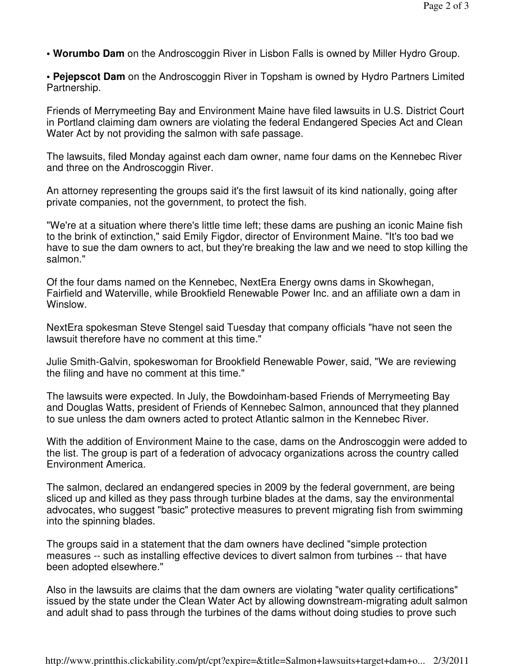- **Worumbo Dam** on the Androscoggin River in Lisbon Falls is owned by Miller Hydro Group.
- **Pejepscot Dam** on the Androscoggin River in Topsham is owned by Hydro Partners Limited Partnership.

Friends of Merrymeeting Bay and Environment Maine have filed lawsuits in U.S. District Court in Portland claiming dam owners are violating the federal Endangered Species Act and Clean Water Act by not providing the salmon with safe passage.

The lawsuits, filed Monday against each dam owner, name four dams on the Kennebec River and three on the Androscoggin River.

An attorney representing the groups said it's the first lawsuit of its kind nationally, going after private companies, not the government, to protect the fish.

"We're at a situation where there's little time left; these dams are pushing an iconic Maine fish to the brink of extinction," said Emily Figdor, director of Environment Maine. "It's too bad we have to sue the dam owners to act, but they're breaking the law and we need to stop killing the salmon."

Of the four dams named on the Kennebec, NextEra Energy owns dams in Skowhegan, Fairfield and Waterville, while Brookfield Renewable Power Inc. and an affiliate own a dam in Winslow.

NextEra spokesman Steve Stengel said Tuesday that company officials "have not seen the lawsuit therefore have no comment at this time."

Julie Smith-Galvin, spokeswoman for Brookfield Renewable Power, said, "We are reviewing the filing and have no comment at this time."

The lawsuits were expected. In July, the Bowdoinham-based Friends of Merrymeeting Bay and Douglas Watts, president of Friends of Kennebec Salmon, announced that they planned to sue unless the dam owners acted to protect Atlantic salmon in the Kennebec River.

With the addition of Environment Maine to the case, dams on the Androscoggin were added to the list. The group is part of a federation of advocacy organizations across the country called Environment America.

The salmon, declared an endangered species in 2009 by the federal government, are being sliced up and killed as they pass through turbine blades at the dams, say the environmental advocates, who suggest "basic" protective measures to prevent migrating fish from swimming into the spinning blades.

The groups said in a statement that the dam owners have declined "simple protection measures -- such as installing effective devices to divert salmon from turbines -- that have been adopted elsewhere."

Also in the lawsuits are claims that the dam owners are violating "water quality certifications" issued by the state under the Clean Water Act by allowing downstream-migrating adult salmon and adult shad to pass through the turbines of the dams without doing studies to prove such